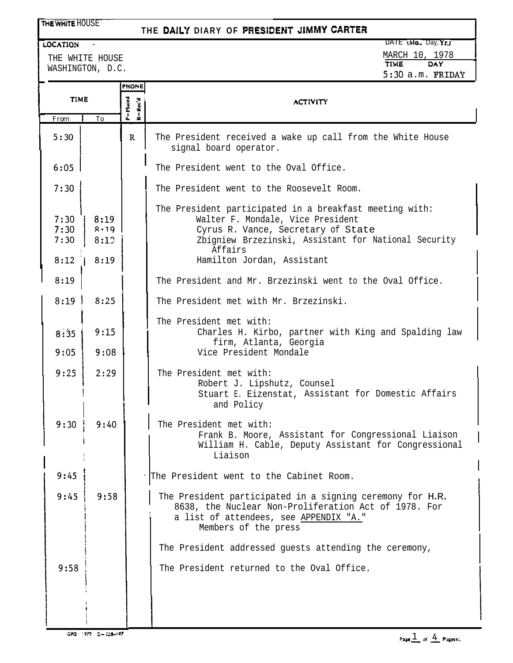## THE WHITE HOUSE

## THE DAILY DIARY OF PRESIDENT JIMMY CARTER

THE WHITE HOUSE WASHINGTON, D.C.

## **EQCATION**  $\cdot$  DATE (Mo., Day, Yr.) MARCH 10, 1978 TIME DAY 5:3O a.m. FRIDAY

|                      |                      | <b>PHONE</b>           |                                                                                                                                                                                                       |
|----------------------|----------------------|------------------------|-------------------------------------------------------------------------------------------------------------------------------------------------------------------------------------------------------|
| <b>TIME</b>          |                      | $P = M$ iaced<br>Rec'd | <b>ACTIVITY</b>                                                                                                                                                                                       |
| From                 | To                   |                        |                                                                                                                                                                                                       |
| 5:30                 |                      | $\mathbf{R}$           | The President received a wake up call from the White House<br>signal board operator.                                                                                                                  |
| 6:05                 |                      |                        | The President went to the Oval Office.                                                                                                                                                                |
| 7:30                 |                      |                        | The President went to the Roosevelt Room.                                                                                                                                                             |
| 7:30<br>7:30<br>7:30 | 8:19<br>8.19<br>8:12 |                        | The President participated in a breakfast meeting with:<br>Walter F. Mondale, Vice President<br>Cyrus R. Vance, Secretary of State<br>Zbigniew Brzezinski, Assistant for National Security<br>Affairs |
| 8:12                 | 8:19                 |                        | Hamilton Jordan, Assistant                                                                                                                                                                            |
| 8:19                 |                      |                        | The President and Mr. Brzezinski went to the Oval Office.                                                                                                                                             |
| 8:19                 | 8:25                 |                        | The President met with Mr. Brzezinski.                                                                                                                                                                |
| 8:35                 | 9:15                 |                        | The President met with:<br>Charles H. Kirbo, partner with King and Spalding law<br>firm, Atlanta, Georgia                                                                                             |
| 9:05                 | 9:08                 |                        | Vice President Mondale                                                                                                                                                                                |
| 9:25                 | 2:29                 |                        | The President met with:<br>Robert J. Lipshutz, Counsel<br>Stuart E. Eizenstat, Assistant for Domestic Affairs<br>and Policy                                                                           |
| 9:30                 | 9:40                 |                        | The President met with:<br>Frank B. Moore, Assistant for Congressional Liaison<br>William H. Cable, Deputy Assistant for Congressional<br>Liaison                                                     |
| 9:45                 |                      |                        | The President went to the Cabinet Room.                                                                                                                                                               |
| 9:45                 | 9:58                 |                        | The President participated in a signing ceremony for H.R.<br>8638, the Nuclear Non-Proliferation Act of 1978. For<br>a list of attendees, see APPENDIX "A."<br>Members of the press                   |
|                      |                      |                        | The President addressed guests attending the ceremony,                                                                                                                                                |
| 9:58                 |                      |                        | The President returned to the Oval Office.                                                                                                                                                            |
|                      |                      |                        |                                                                                                                                                                                                       |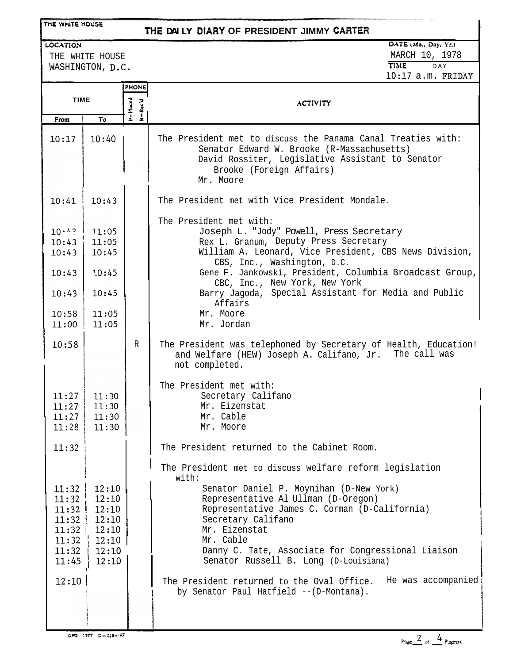#### THE WHITE HOUSE

## **THE DAILY DIARY OF PRESIDENT JIMMY CARTER**

#### LOCATION

THE WHITE HOUSE WASHINGTON, D.C.

### DATE (Mo., Day, Yr.) **MARCH 10, 1978**<br>**TIME** DAY **TIME** lo:17 a.m. FRIDAY

|                                                    |                                                                                                                        | <b>PHONE</b>       |                                                                                                                                                                                                                                                                                                                                                                                                 |
|----------------------------------------------------|------------------------------------------------------------------------------------------------------------------------|--------------------|-------------------------------------------------------------------------------------------------------------------------------------------------------------------------------------------------------------------------------------------------------------------------------------------------------------------------------------------------------------------------------------------------|
| <b>TIME</b>                                        |                                                                                                                        | P=Maced<br>K-Rec'd | <b>ACTIVITY</b>                                                                                                                                                                                                                                                                                                                                                                                 |
| From                                               | To                                                                                                                     |                    |                                                                                                                                                                                                                                                                                                                                                                                                 |
| 10:17                                              | 10:40                                                                                                                  |                    | The President met to discuss the Panama Canal Treaties with:<br>Senator Edward W. Brooke (R-Massachusetts)<br>David Rossiter, Legislative Assistant to Senator<br>Brooke (Foreign Affairs)<br>Mr. Moore                                                                                                                                                                                         |
| 10:41                                              | 10:43                                                                                                                  |                    | The President met with Vice President Mondale.                                                                                                                                                                                                                                                                                                                                                  |
| 10:43<br>10:43<br>10:43<br>10:43<br>10:58<br>11:00 | $10 \cdot$ $\cdot$ ?   11:05<br>11:05<br>10:45<br>7.0:45<br>10:45<br>11:05<br>11:05                                    |                    | The President met with:<br>Joseph L. "Jody" Powell, Press Secretary<br>Rex L. Granum, Deputy Press Secretary<br>William A. Leonard, Vice President, CBS News Division,<br>CBS, Inc., Washington, D.C.<br>Gene F. Jankowski, President, Columbia Broadcast Group,<br>CBC, Inc., New York, New York<br>Barry Jagoda, Special Assistant for Media and Public<br>Affairs<br>Mr. Moore<br>Mr. Jordan |
| 10:58                                              |                                                                                                                        | $\mathbb{R}$       | The President was telephoned by Secretary of Health, Education!<br>The call was<br>and Welfare (HEW) Joseph A. Califano, Jr.<br>not completed.                                                                                                                                                                                                                                                  |
| 11:27<br>11:27<br>11:27<br>11:28                   | 11:30<br>11:30<br>11:30<br>11:30                                                                                       |                    | The President met with:<br>Secretary Califano<br>Mr. Eizenstat<br>Mr. Cable<br>Mr. Moore                                                                                                                                                                                                                                                                                                        |
| 11:32                                              |                                                                                                                        |                    | The President returned to the Cabinet Room.<br>The President met to discuss welfare reform legislation                                                                                                                                                                                                                                                                                          |
| 11:32<br>11:32<br>11:32<br>11:32<br>11:45          | 12:10<br>12:10<br>$11:32$   $12:10$<br>$11:32$   $12:10$<br>$11:32$   $12:10$<br>$\frac{1}{2}$ 12:10<br>12:10<br>12:10 |                    | with:<br>Senator Daniel P. Moynihan (D-New York)<br>Representative Al Ullman (D-Oregon)<br>Representative James C. Corman (D-California)<br>Secretary Califano<br>Mr. Eizenstat<br>Mr. Cable<br>Danny C. Tate, Associate for Congressional Liaison<br>Senator Russell B. Long (D-Louisiana)                                                                                                     |
| 12:10                                              |                                                                                                                        |                    | The President returned to the Oval Office. He was accompanied<br>by Senator Paul Hatfield -- (D-Montana).                                                                                                                                                                                                                                                                                       |

 $GPO = 1977 - C = 228 - 197$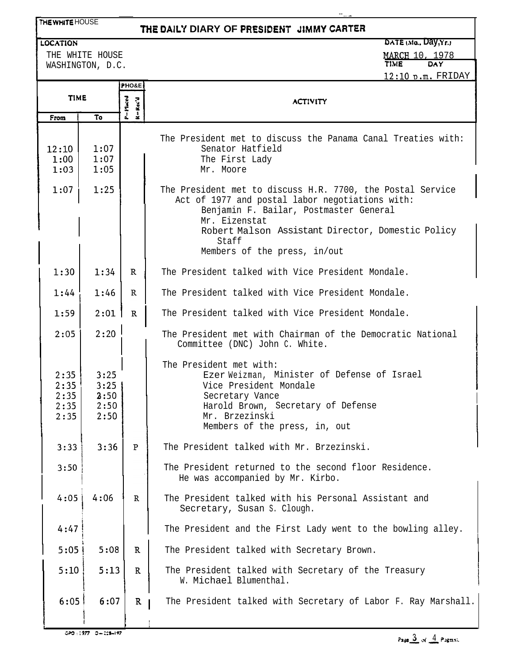# **THE DAILY DIARY OF** PRESlbENT **31MMY CARTER**

#### LOCATION

THE WHITE HOUSE

THE WHITE HOUSE WASHINGTON, D.C. DATE (Mo.. **Day, Yr.**)

-- - ~-~

<u>MARCH 10, 1978</u>

|               |              |                        | $12:10$ p.m. FRIDAY                                                                                           |  |
|---------------|--------------|------------------------|---------------------------------------------------------------------------------------------------------------|--|
|               |              | PHO&E                  |                                                                                                               |  |
| <b>TIME</b>   |              | $P = 17 \text{ arcol}$ | <b>ACTIVITY</b>                                                                                               |  |
| From          | To           | $R = Rcc'd$            |                                                                                                               |  |
|               |              |                        |                                                                                                               |  |
|               |              |                        | The President met to discuss the Panama Canal Treaties with:                                                  |  |
| 12:10<br>1:00 | 1:07<br>1:07 |                        | Senator Hatfield<br>The First Lady                                                                            |  |
| 1:03          | 1:05         |                        | Mr. Moore                                                                                                     |  |
|               |              |                        |                                                                                                               |  |
| 1:07          | 1:25         |                        | The President met to discuss H.R. 7700, the Postal Service<br>Act of 1977 and postal labor negotiations with: |  |
|               |              |                        | Benjamin F. Bailar, Postmaster General                                                                        |  |
|               |              |                        | Mr. Eizenstat                                                                                                 |  |
|               |              |                        | Robert Malson Assistant Director, Domestic Policy<br>Staff                                                    |  |
|               |              |                        | Members of the press, in/out                                                                                  |  |
| 1:30          | 1:34         | $\mathbf R$            | The President talked with Vice President Mondale.                                                             |  |
| 1:44          | 1:46         | R                      | The President talked with Vice President Mondale.                                                             |  |
| 1:59          | 2:01         | $\mathbb{R}$           | The President talked with Vice President Mondale.                                                             |  |
| 2:05          | 2:20         |                        | The President met with Chairman of the Democratic National<br>Committee (DNC) John C. White.                  |  |
|               |              |                        | The President met with:                                                                                       |  |
| 2:35<br>2:35  | 3:25<br>3:25 |                        | Ezer Weizman, Minister of Defense of Israel<br>Vice President Mondale                                         |  |
| 2:35          | 3:50         |                        | Secretary Vance                                                                                               |  |
| 2:35          | 2:50         |                        | Harold Brown, Secretary of Defense                                                                            |  |
| 2:35          | 2:50         |                        | Mr. Brzezinski<br>Members of the press, in, out                                                               |  |
|               |              |                        |                                                                                                               |  |
| 3:33          | 3:36         | P                      | The President talked with Mr. Brzezinski                                                                      |  |
| 3:50          |              |                        | The President returned to the second floor Residence.<br>He was accompanied by Mr. Kirbo.                     |  |
|               |              |                        |                                                                                                               |  |
| 4:05          | 4:06         | $\mathbb{R}$           | The President talked with his Personal Assistant and<br>Secretary, Susan S. Clough.                           |  |
| 4:47          |              |                        | The President and the First Lady went to the bowling alley.                                                   |  |
| 5:05          | 5:08         | $\mathbb{R}$           | The President talked with Secretary Brown.                                                                    |  |
|               |              |                        |                                                                                                               |  |
| 5:10          | 5:13         | $\mathbb{R}$           | The President talked with Secretary of the Treasury<br>W. Michael Blumenthal.                                 |  |
| 6:05          | 6:07         | $\mathbf{R}$           | The President talked with Secretary of Labor F. Ray Marshall.                                                 |  |
|               |              |                        |                                                                                                               |  |

<sup>I</sup> I